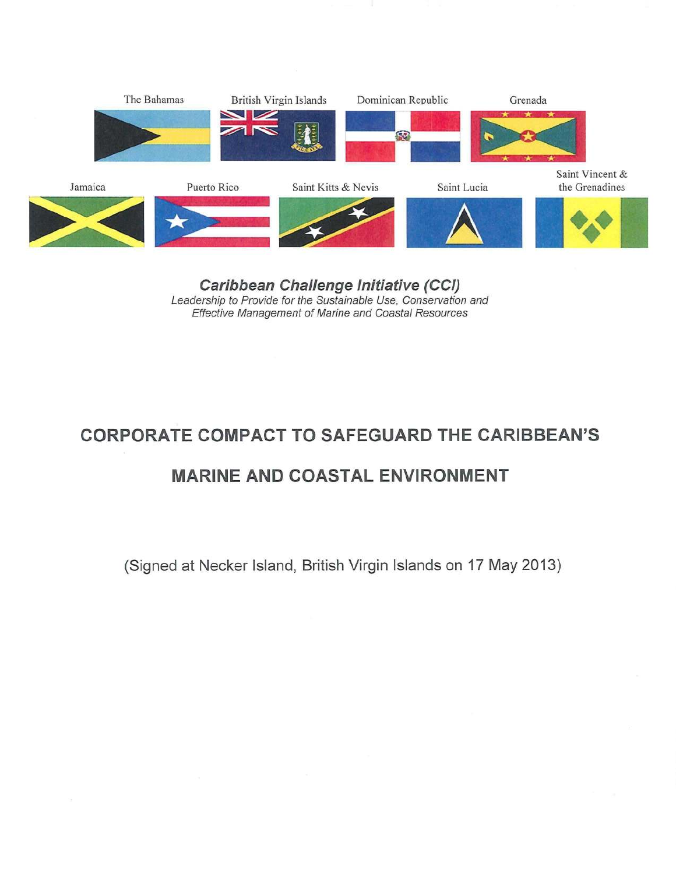

**Caribbean Challenge Initiative (CCI)**  Leadership to Provide for the Sustainable Use, Conservation and Effective Management of Marine and Coastal Resources

# **CORPORATE COMPACT TO SAFEGUARD THE CARIBBEAN'S**

## **MARINE AND COASTAL ENVIRONMENT**

(Signed at Necker Island, British Virgin Islands on 17 May 2013)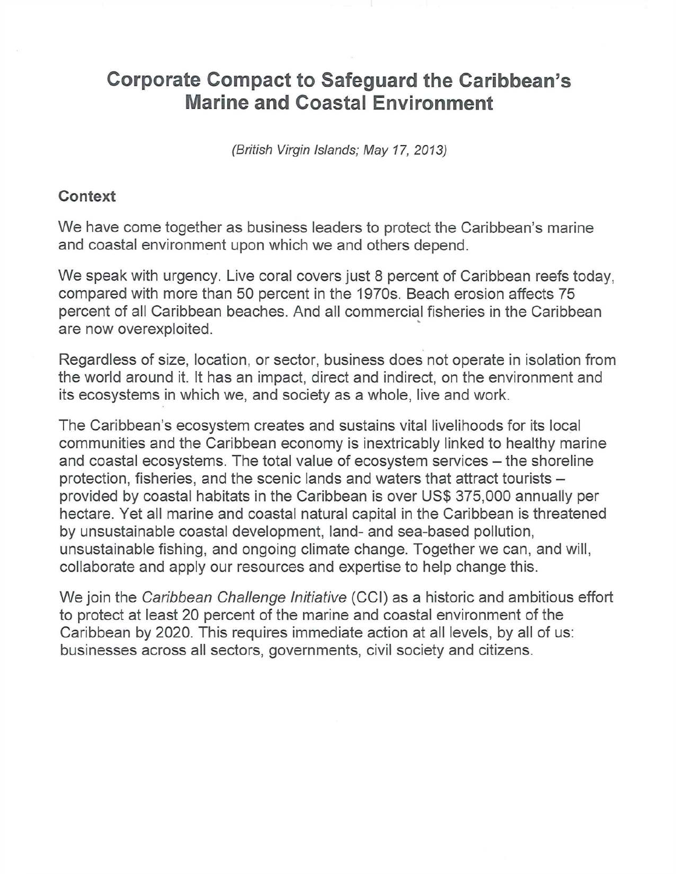## **Corporate Compact to Safeguard the Caribbean's Marine and Coastal Environment**

(British Virgin Islands; May 17, 2013)

#### **Context**

We have come together as business leaders to protect the Caribbean's marine and coastal environment upon which we and others depend.

We speak with urgency. Live coral covers just 8 percent of Caribbean reefs today, compared with more than 50 percent in the 1970s. Beach erosion affects 75 percent of all Caribbean beaches. And all commercial fisheries in the Caribbean are now overexploited.

Regardless of size, location, or sector, business does not operate in isolation from the world around it. It has an impact, direct and indirect, on the environment and its ecosystems in which we, and society as a whole, live and work.

The Caribbean's ecosystem creates and sustains vital livelihoods for its local communities and the Caribbean economy is inextricably linked to healthy marine and coastal ecosystems. The total value of ecosystem services - the shoreline protection, fisheries, and the scenic lands and waters that attract tourists provided by coastal habitats in the Caribbean is over US\$ 375,000 annually per hectare. Yet all marine and coastal natural capital in the Caribbean is threatened by unsustainable coastal development, land- and sea-based pollution, unsustainable fishing, and ongoing climate change. Together we can, and will, collaborate and apply our resources and expertise to help change this.

We join the Caribbean Challenge Initiative (CCI) as a historic and ambitious effort to protect at least 20 percent of the marine and coastal environment of the Caribbean by 2020. This requires immediate action at ail levels, by all of us: businesses across all sectors, governments, civil society and citizens.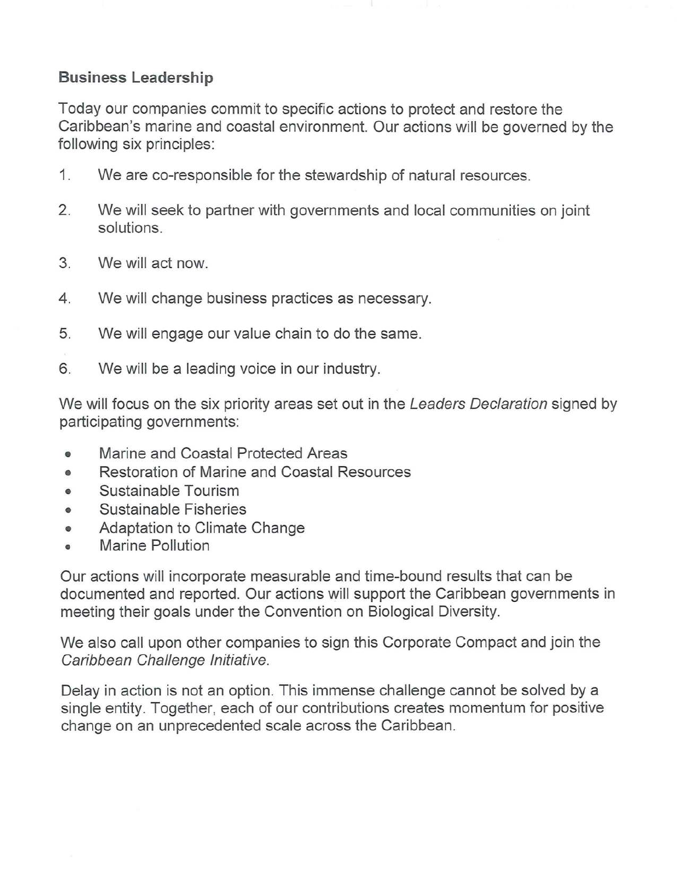### **Business Leadership**

Today our companies commit to specific actions to protect and restore the Caribbean's marine and coastal environment. Our actions will be governed by the following six principles:

- 1. We are co-responsible for the stewardship of natural resources.
- 2. We will seek to partner with governments and local communities on joint solutions.
- 3. We will act now.
- 4. We will change business practices as necessary.
- 5. We will engage our value chain to do the same.
- 6. We will be a leading voice in our industry.

We will focus on the six priority areas set out in the Leaders Declaration signed by participating governments:

- Marine and Coastal Protected Areas
- Restoration of Marine and Coastal Resources
- Sustainable Tourism
- Sustainable Fisheries
- Adaptation to Climate Change
- Marine Pollution

Our actions will incorporate measurable and time-bound results that can be documented and reported. Our actions will support the Caribbean governments in meeting their goals under the Convention on Biological Diversity.

We also call upon other companies to sign this Corporate Compact and join the Caribbean Challenge Initiative.

Delay in action is not an option. This immense challenge cannot be solved by a single entity. Together, each of our contributions creates momentum for positive change on an unprecedented scale across the Caribbean.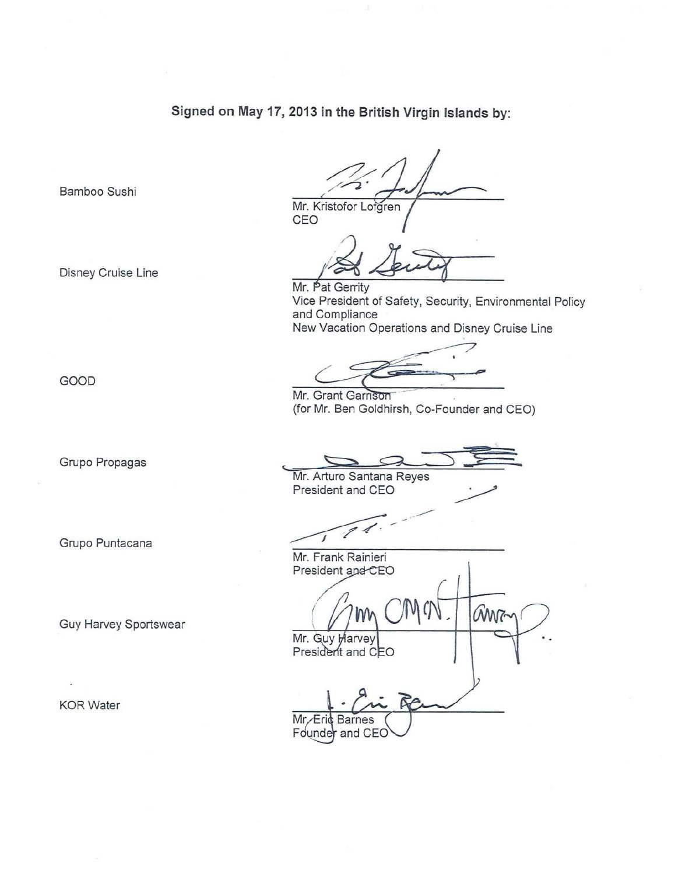## **Signed on May 17, 2013 in the British Virgin Islands by:**

Bamboo Sushi

Disney Cruise Line

GOOD

Grupo Propagas

Grupo Puntacana

Guy Harvey Sportswear

KOR Water

Mr. Kristofor Lofgren CEO

Mr. Pat Gerrity Vice President of Safety, Security, Environmental Policy and Compliance New Vacation Operations and Disney Cruise Line

Mr. Grant Garrison (for Mr. Ben Goldhirsh, Co-Founder and CEO)

Mr. Arturo Santana Reyes President and CEO

Mr. Frank Rainieri President and CEO **awr** Mr. Guy Harvey President and CEO Mr Eric Barnes

Founder and CEC